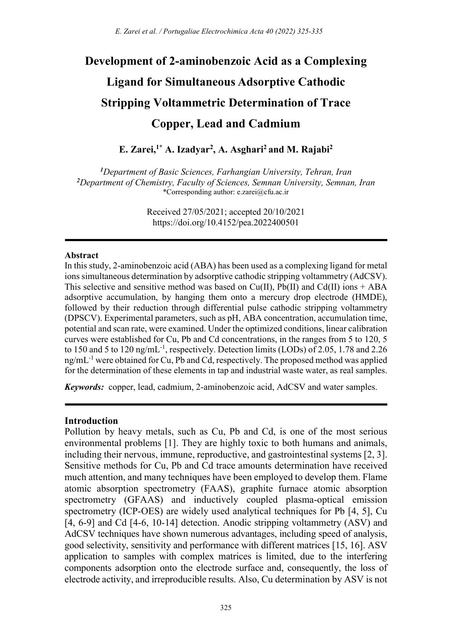# Development of 2-aminobenzoic Acid as a Complexing Ligand for Simultaneous Adsorptive Cathodic Stripping Voltammetric Determination of Trace Copper, Lead and Cadmium

E. Zarei,<sup>1\*</sup> A. Izadyar<sup>2</sup>, A. Asghari<sup>2</sup> and M. Rajabi<sup>2</sup>

<sup>1</sup>Department of Basic Sciences, Farhangian University, Tehran, Iran <sup>2</sup>Department of Chemistry, Faculty of Sciences, Semnan University, Semnan, Iran \*Corresponding author: e.zarei@cfu.ac.ir

> Received 27/05/2021; accepted 20/10/2021 https://doi.org/10.4152/pea.2022400501

#### Abstract

In this study, 2-aminobenzoic acid (ABA) has been used as a complexing ligand for metal ions simultaneous determination by adsorptive cathodic stripping voltammetry (AdCSV). This selective and sensitive method was based on Cu(II),  $Pb(II)$  and Cd(II) ions + ABA adsorptive accumulation, by hanging them onto a mercury drop electrode (HMDE), followed by their reduction through differential pulse cathodic stripping voltammetry (DPSCV). Experimental parameters, such as pH, ABA concentration, accumulation time, potential and scan rate, were examined. Under the optimized conditions, linear calibration curves were established for Cu, Pb and Cd concentrations, in the ranges from 5 to 120, 5 to 150 and 5 to 120 ng/mL<sup>-1</sup>, respectively. Detection limits (LODs) of 2.05, 1.78 and 2.26  $ng/mL^{-1}$  were obtained for Cu, Pb and Cd, respectively. The proposed method was applied for the determination of these elements in tap and industrial waste water, as real samples.

Keywords: copper, lead, cadmium, 2-aminobenzoic acid, AdCSV and water samples.

#### Introduction

Pollution by heavy metals, such as Cu, Pb and Cd, is one of the most serious environmental problems [1]. They are highly toxic to both humans and animals, including their nervous, immune, reproductive, and gastrointestinal systems [2, 3]. Sensitive methods for Cu, Pb and Cd trace amounts determination have received much attention, and many techniques have been employed to develop them. Flame atomic absorption spectrometry (FAAS), graphite furnace atomic absorption spectrometry (GFAAS) and inductively coupled plasma-optical emission spectrometry (ICP-OES) are widely used analytical techniques for Pb [4, 5], Cu [4, 6-9] and Cd [4-6, 10-14] detection. Anodic stripping voltammetry (ASV) and AdCSV techniques have shown numerous advantages, including speed of analysis, good selectivity, sensitivity and performance with different matrices [15, 16]. ASV application to samples with complex matrices is limited, due to the interfering components adsorption onto the electrode surface and, consequently, the loss of electrode activity, and irreproducible results. Also, Cu determination by ASV is not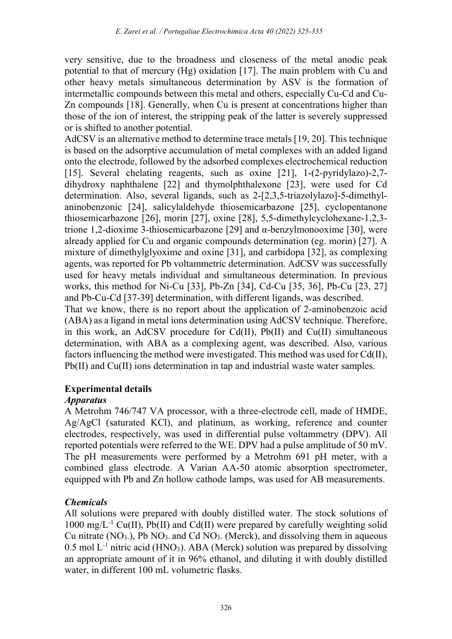very sensitive, due to the broadness and closeness of the metal anodic peak potential to that of mercury (Hg) oxidation [17]. The main problem with Cu and other heavy metals simultaneous determination by ASV is the formation of intermetallic compounds between this metal and others, especially Cu-Cd and Cu-Zn compounds [18]. Generally, when Cu is present at concentrations higher than those of the ion of interest, the stripping peak of the latter is severely suppressed or is shifted to another potential.

AdCSV is an alternative method to determine trace metals [19, 20]. This technique is based on the adsorptive accumulation of metal complexes with an added ligand onto the electrode, followed by the adsorbed complexes electrochemical reduction [15]. Several chelating reagents, such as oxine [21], 1-(2-pyridylazo)-2,7 dihydroxy naphthalene [22] and thymolphthalexone [23], were used for Cd determination. Also, several ligands, such as 2-[2,3,5-triazolylazo]-5-dimethylaninobenzonic [24], salicylaldehyde thiosemicarbazone [25], cyclopentanone thiosemicarbazone [26], morin [27], oxine [28], 5,5-dimethylcyclohexane-1,2,3 trione 1,2-dioxime 3-thiosemicarbazone [29] and α-benzylmonooxime [30], were already applied for Cu and organic compounds determination (eg. morin) [27]. A mixture of dimethylglyoxime and oxine [31], and carbidopa [32], as complexing agents, was reported for Pb voltammetric determination. AdCSV was successfully used for heavy metals individual and simultaneous determination. In previous works, this method for Ni-Cu [33], Pb-Zn [34], Cd-Cu [35, 36], Pb-Cu [23, 27] and Pb-Cu-Cd [37-39] determination, with different ligands, was described. That we know, there is no report about the application of 2-aminobenzoic acid (ABA) as a ligand in metal ions determination using AdCSV technique. Therefore,

in this work, an AdCSV procedure for Cd(II), Pb(II) and Cu(II) simultaneous determination, with ABA as a complexing agent, was described. Also, various factors influencing the method were investigated. This method was used for Cd(II), Pb(II) and Cu(II) ions determination in tap and industrial waste water samples.

# Experimental details

## Apparatus

A Metrohm 746/747 VA processor, with a three-electrode cell, made of HMDE, Ag/AgCl (saturated KCl), and platinum, as working, reference and counter electrodes, respectively, was used in differential pulse voltammetry (DPV). All reported potentials were referred to the WE. DPV had a pulse amplitude of 50 mV. The pH measurements were performed by a Metrohm 691 pH meter, with a combined glass electrode. A Varian AA-50 atomic absorption spectrometer, equipped with Pb and Zn hollow cathode lamps, was used for AB measurements.

# Chemicals

All solutions were prepared with doubly distilled water. The stock solutions of 1000 mg/L<sup>-1</sup> Cu(II), Pb(II) and Cd(II) were prepared by carefully weighting solid Cu nitrate  $(NO<sub>3</sub>.)$ , Pb  $NO<sub>3</sub>$  and Cd  $NO<sub>3</sub>$ . (Merck), and dissolving them in aqueous  $0.5$  mol L<sup>-1</sup> nitric acid (HNO<sub>3</sub>). ABA (Merck) solution was prepared by dissolving an appropriate amount of it in 96% ethanol, and diluting it with doubly distilled water, in different 100 mL volumetric flasks.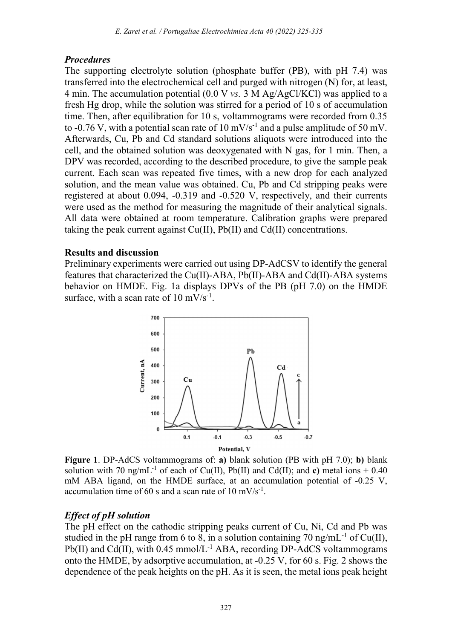## Procedures

The supporting electrolyte solution (phosphate buffer (PB), with pH 7.4) was transferred into the electrochemical cell and purged with nitrogen (N) for, at least, 4 min. The accumulation potential (0.0 V vs. 3 M Ag/AgCl/KCl) was applied to a fresh Hg drop, while the solution was stirred for a period of 10 s of accumulation time. Then, after equilibration for 10 s, voltammograms were recorded from 0.35 to -0.76 V, with a potential scan rate of 10  $mV/s^{-1}$  and a pulse amplitude of 50 mV. Afterwards, Cu, Pb and Cd standard solutions aliquots were introduced into the cell, and the obtained solution was deoxygenated with N gas, for 1 min. Then, a DPV was recorded, according to the described procedure, to give the sample peak current. Each scan was repeated five times, with a new drop for each analyzed solution, and the mean value was obtained. Cu, Pb and Cd stripping peaks were registered at about 0.094, -0.319 and -0.520 V, respectively, and their currents were used as the method for measuring the magnitude of their analytical signals. All data were obtained at room temperature. Calibration graphs were prepared taking the peak current against Cu(II), Pb(II) and Cd(II) concentrations.

## Results and discussion

Preliminary experiments were carried out using DP-AdCSV to identify the general features that characterized the Cu(II)-ABA, Pb(II)-ABA and Cd(II)-ABA systems behavior on HMDE. Fig. 1a displays DPVs of the PB (pH 7.0) on the HMDE surface, with a scan rate of  $10 \text{ mV/s}^{-1}$ .



Figure 1. DP-AdCS voltammograms of: a) blank solution (PB with pH 7.0); b) blank solution with 70 ng/mL<sup>-1</sup> of each of Cu(II), Pb(II) and Cd(II); and c) metal ions  $+0.40$ mM ABA ligand, on the HMDE surface, at an accumulation potential of -0.25 V, accumulation time of 60 s and a scan rate of 10 mV/s<sup>-1</sup>.

## Effect of pH solution

The pH effect on the cathodic stripping peaks current of Cu, Ni, Cd and Pb was studied in the pH range from 6 to 8, in a solution containing 70 ng/mL<sup>-1</sup> of Cu(II), Pb(II) and Cd(II), with  $0.45 \text{ mmol/L}^{-1}$  ABA, recording DP-AdCS voltammograms onto the HMDE, by adsorptive accumulation, at -0.25 V, for 60 s. Fig. 2 shows the dependence of the peak heights on the pH. As it is seen, the metal ions peak height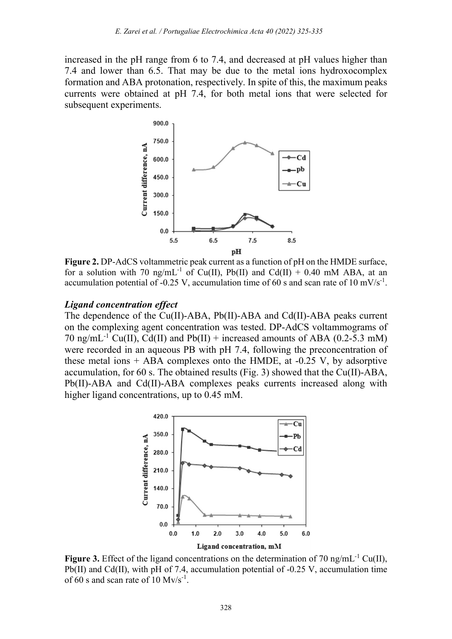increased in the pH range from 6 to 7.4, and decreased at pH values higher than 7.4 and lower than 6.5. That may be due to the metal ions hydroxocomplex formation and ABA protonation, respectively. In spite of this, the maximum peaks currents were obtained at pH 7.4, for both metal ions that were selected for subsequent experiments.



Figure 2. DP-AdCS voltammetric peak current as a function of pH on the HMDE surface, for a solution with 70 ng/mL<sup>-1</sup> of Cu(II), Pb(II) and Cd(II) + 0.40 mM ABA, at an accumulation potential of -0.25 V, accumulation time of 60 s and scan rate of 10 mV/s<sup>-1</sup>.

#### Ligand concentration effect

The dependence of the Cu(II)-ABA, Pb(II)-ABA and Cd(II)-ABA peaks current on the complexing agent concentration was tested. DP-AdCS voltammograms of 70 ng/mL<sup>-1</sup> Cu(II), Cd(II) and Pb(II) + increased amounts of ABA (0.2-5.3 mM) were recorded in an aqueous PB with pH 7.4, following the preconcentration of these metal ions  $+$  ABA complexes onto the HMDE, at  $-0.25$  V, by adsorptive accumulation, for 60 s. The obtained results (Fig. 3) showed that the Cu(II)-ABA, Pb(II)-ABA and Cd(II)-ABA complexes peaks currents increased along with higher ligand concentrations, up to 0.45 mM.



Figure 3. Effect of the ligand concentrations on the determination of 70 ng/mL<sup>-1</sup> Cu(II), Pb(II) and Cd(II), with pH of 7.4, accumulation potential of -0.25 V, accumulation time of 60 s and scan rate of  $10 \text{ Mv/s}^{-1}$ .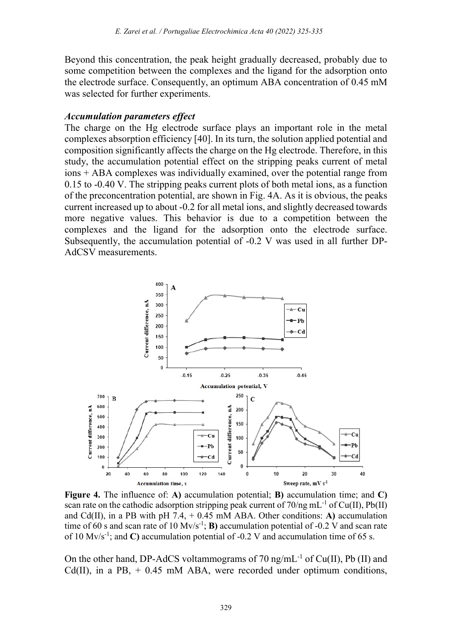Beyond this concentration, the peak height gradually decreased, probably due to some competition between the complexes and the ligand for the adsorption onto the electrode surface. Consequently, an optimum ABA concentration of 0.45 mM was selected for further experiments.

## Accumulation parameters effect

The charge on the Hg electrode surface plays an important role in the metal complexes absorption efficiency [40]. In its turn, the solution applied potential and composition significantly affects the charge on the Hg electrode. Therefore, in this study, the accumulation potential effect on the stripping peaks current of metal ions + ABA complexes was individually examined, over the potential range from 0.15 to -0.40 V. The stripping peaks current plots of both metal ions, as a function of the preconcentration potential, are shown in Fig. 4A. As it is obvious, the peaks current increased up to about -0.2 for all metal ions, and slightly decreased towards more negative values. This behavior is due to a competition between the complexes and the ligand for the adsorption onto the electrode surface. Subsequently, the accumulation potential of -0.2 V was used in all further DP-AdCSV measurements.



Figure 4. The influence of: A) accumulation potential; B) accumulation time; and C) scan rate on the cathodic adsorption stripping peak current of  $70/\text{ng mL}^{-1}$  of Cu(II), Pb(II) and Cd(II), in a PB with pH 7.4,  $+$  0.45 mM ABA. Other conditions: A) accumulation time of 60 s and scan rate of 10 Mv/s<sup>-1</sup>; **B**) accumulation potential of -0.2 V and scan rate of 10 Mv/s<sup>-1</sup>; and C) accumulation potential of -0.2 V and accumulation time of 65 s.

On the other hand, DP-AdCS voltammograms of 70 ng/mL<sup>-1</sup> of Cu(II), Pb (II) and Cd(II), in a PB,  $+$  0.45 mM ABA, were recorded under optimum conditions,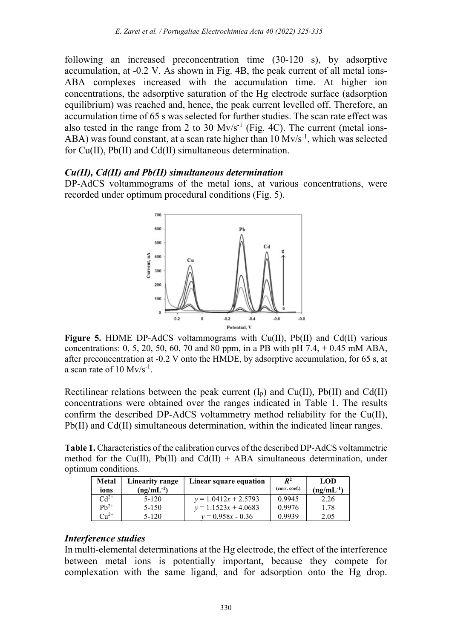following an increased preconcentration time (30-120 s), by adsorptive accumulation, at -0.2 V. As shown in Fig. 4B, the peak current of all metal ions-ABA complexes increased with the accumulation time. At higher ion concentrations, the adsorptive saturation of the Hg electrode surface (adsorption equilibrium) was reached and, hence, the peak current levelled off. Therefore, an accumulation time of 65 s was selected for further studies. The scan rate effect was also tested in the range from 2 to 30  $Mv/s^{-1}$  (Fig. 4C). The current (metal ions-ABA) was found constant, at a scan rate higher than  $10 \text{ Mv/s}^{-1}$ , which was selected for Cu(II), Pb(II) and Cd(II) simultaneous determination.

#### Cu(II), Cd(II) and Pb(II) simultaneous determination

DP-AdCS voltammograms of the metal ions, at various concentrations, were recorded under optimum procedural conditions (Fig. 5).



Figure 5. HDME DP-AdCS voltammograms with Cu(II), Pb(II) and Cd(II) various concentrations:  $0, 5, 20, 50, 60, 70$  and  $80$  ppm, in a PB with pH 7.4,  $+ 0.45$  mM ABA, after preconcentration at -0.2 V onto the HMDE, by adsorptive accumulation, for 65 s, at a scan rate of  $10 \text{ Mv/s}^{-1}$ .

Rectilinear relations between the peak current  $(I_p)$  and  $Cu(II)$ , Pb(II) and Cd(II) concentrations were obtained over the ranges indicated in Table 1. The results confirm the described DP-AdCS voltammetry method reliability for the Cu(II), Pb(II) and Cd(II) simultaneous determination, within the indicated linear ranges.

Table 1. Characteristics of the calibration curves of the described DP-AdCS voltammetric method for the Cu(II), Pb(II) and Cd(II) + ABA simultaneous determination, under optimum conditions.

| Metal<br>ions | Linearity range<br>$(ng/mL^{-1})$ | Linear square equation | $\mathbb{R}^2$<br>(corr. coef.) | LOD<br>$(ng/mL^{-1})$ |
|---------------|-----------------------------------|------------------------|---------------------------------|-----------------------|
| $Cd^{2+}$     | 5-120                             | $v = 1.0412x + 2.5793$ | 0.9945                          | 2.26                  |
| $Ph^{2+}$     | $5 - 150$                         | $v = 1.1523x + 4.0683$ | 0.9976                          | 1.78                  |
| $Cu^{2+}$     | 5-120                             | $v = 0.958x - 0.36$    | 0.9939                          | 2.05                  |

### Interference studies

In multi-elemental determinations at the Hg electrode, the effect of the interference between metal ions is potentially important, because they compete for complexation with the same ligand, and for adsorption onto the Hg drop.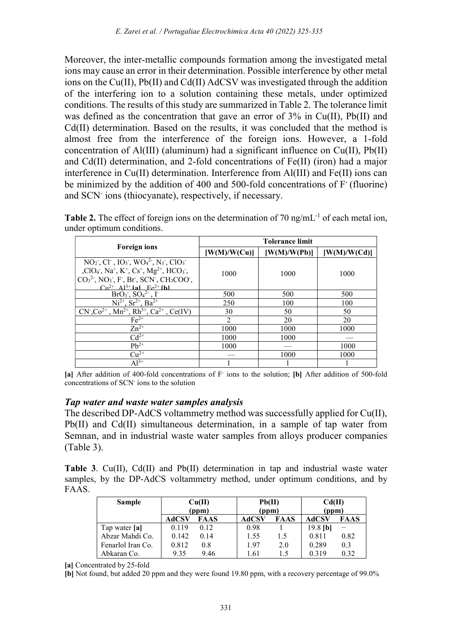Moreover, the inter-metallic compounds formation among the investigated metal ions may cause an error in their determination. Possible interference by other metal ions on the Cu(II), Pb(II) and Cd(II) AdCSV was investigated through the addition of the interfering ion to a solution containing these metals, under optimized conditions. The results of this study are summarized in Table 2. The tolerance limit was defined as the concentration that gave an error of 3% in Cu(II), Pb(II) and Cd(II) determination. Based on the results, it was concluded that the method is almost free from the interference of the foreign ions. However, a 1-fold concentration of Al(III) (aluminum) had a significant influence on Cu(II), Pb(II) and Cd(II) determination, and 2-fold concentrations of Fe(II) (iron) had a major interference in Cu(II) determination. Interference from Al(III) and Fe(II) ions can be minimized by the addition of 400 and 500-fold concentrations of F (fluorine) and SCN- ions (thiocyanate), respectively, if necessary.

|                                                                                                                                                                                                                                                                                                                                                                                                                                                                                           | <b>Tolerance limit</b> |                |            |  |  |
|-------------------------------------------------------------------------------------------------------------------------------------------------------------------------------------------------------------------------------------------------------------------------------------------------------------------------------------------------------------------------------------------------------------------------------------------------------------------------------------------|------------------------|----------------|------------|--|--|
| <b>Foreign ions</b>                                                                                                                                                                                                                                                                                                                                                                                                                                                                       | [W(M)/W(Cu)]           | [ W(M)/W(Pb) ] | W(M)/W(Cd) |  |  |
| $NO_2$ , Cl <sup>-</sup> , IO <sub>3</sub> , WO <sub>4</sub> <sup>2</sup> , N <sub>3</sub> , ClO <sub>3</sub> <sup>-</sup><br>,ClO <sub>4</sub> <sup>-</sup> , Na <sup>+</sup> , K <sup>+</sup> , Cs <sup>+</sup> , Mg <sup>2+</sup> , HCO <sub>3</sub> <sup>-</sup> ,<br>$CO32$ , NO <sub>3</sub> <sup>-</sup> , F <sup>-</sup> , Br <sup>-</sup> , SCN <sup>-</sup> , CH <sub>3</sub> COO <sup>-</sup> ,<br>$Cu^{2+}$ A <sub>1</sub> <sup>3+</sup> [a] F <sub>e</sub> <sup>2+</sup> [h] | 1000                   | 1000           | 1000       |  |  |
| $\overline{BrO_3$ , $\overline{SO_4^2}$ , $\overline{I}$                                                                                                                                                                                                                                                                                                                                                                                                                                  | 500                    | 500            | 500        |  |  |
| $Ni^{2+}$ , $Sr^{2+}$ , $Ba^{2+}$                                                                                                                                                                                                                                                                                                                                                                                                                                                         | 250                    | 100            | 100        |  |  |
| $CN^{\dagger}$ , $Co^{2+}$ , $Mn^{2+}$ , $Rh^{3+}$ , $Ca^{2+}$ , $Ce(IV)$                                                                                                                                                                                                                                                                                                                                                                                                                 | 30                     | 50             | 50         |  |  |
| $Fe2+$                                                                                                                                                                                                                                                                                                                                                                                                                                                                                    | $\overline{2}$         | 20             | 20         |  |  |
| $Zn^{2+}$                                                                                                                                                                                                                                                                                                                                                                                                                                                                                 | 1000                   | 1000           | 1000       |  |  |
| $Cd^{2+}$                                                                                                                                                                                                                                                                                                                                                                                                                                                                                 | 1000                   | 1000           |            |  |  |
| $Pb^{2+}$                                                                                                                                                                                                                                                                                                                                                                                                                                                                                 | 1000                   |                | 1000       |  |  |
| $Cu2+$                                                                                                                                                                                                                                                                                                                                                                                                                                                                                    |                        | 1000           | 1000       |  |  |
| $A1^{3+}$                                                                                                                                                                                                                                                                                                                                                                                                                                                                                 |                        |                |            |  |  |

**Table 2.** The effect of foreign ions on the determination of 70 ng/mL<sup>-1</sup> of each metal ion, under optimum conditions.

## Tap water and waste water samples analysis

The described DP-AdCS voltammetry method was successfully applied for Cu(II), Pb(II) and Cd(II) simultaneous determination, in a sample of tap water from Semnan, and in industrial waste water samples from alloys producer companies (Table 3).

Table 3. Cu(II), Cd(II) and Pb(II) determination in tap and industrial waste water samples, by the DP-AdCS voltammetry method, under optimum conditions, and by FAAS.

| <b>Sample</b>          | Cu(II) |             | Pb(II) |             | Cd(II)     |      |
|------------------------|--------|-------------|--------|-------------|------------|------|
|                        | (ppm)  |             | (ppm)  |             | (ppm)      |      |
|                        | AdCSV  | <b>FAAS</b> | AdCSV  | <b>FAAS</b> | AdCSV      | FAAS |
| Tap water [ <b>a</b> ] | 0.119  | 0.12        | 0.98   |             | $19.8$ [b] |      |
| Abzar Mahdi Co.        | 0.142  | 0.14        | 1.55   | 1.5         | 0.811      | 0.82 |
| Fenarlol Iran Co.      | 0.812  | 0.8         | 1.97   | 2.0         | 0.289      | 0.3  |
| Abkaran Co.            | 9.35   | 9.46        | 1.61   | 1.5         | 0.319      | 0.32 |

[a] Concentrated by 25-fold

[b] Not found, but added 20 ppm and they were found 19.80 ppm, with a recovery percentage of 99.0%

<sup>[</sup>a] After addition of 400-fold concentrations of F ions to the solution; [b] After addition of 500-fold concentrations of SCN- ions to the solution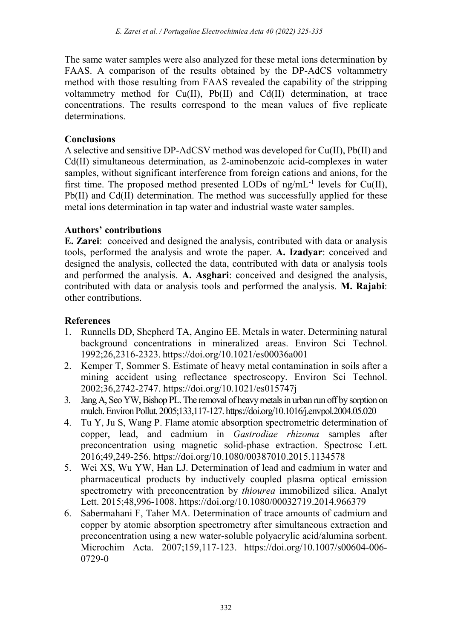The same water samples were also analyzed for these metal ions determination by FAAS. A comparison of the results obtained by the DP-AdCS voltammetry method with those resulting from FAAS revealed the capability of the stripping voltammetry method for Cu(II), Pb(II) and Cd(II) determination, at trace concentrations. The results correspond to the mean values of five replicate determinations.

## **Conclusions**

A selective and sensitive DP-AdCSV method was developed for Cu(II), Pb(II) and Cd(II) simultaneous determination, as 2-aminobenzoic acid-complexes in water samples, without significant interference from foreign cations and anions, for the first time. The proposed method presented LODs of  $n\pi/mL^{-1}$  levels for Cu(II), Pb(II) and Cd(II) determination. The method was successfully applied for these metal ions determination in tap water and industrial waste water samples.

# Authors' contributions

E. Zarei: conceived and designed the analysis, contributed with data or analysis tools, performed the analysis and wrote the paper. A. Izadyar: conceived and designed the analysis, collected the data, contributed with data or analysis tools and performed the analysis. A. Asghari: conceived and designed the analysis, contributed with data or analysis tools and performed the analysis. M. Rajabi: other contributions.

# References

- 1. Runnells DD, Shepherd TA, Angino EE. Metals in water. Determining natural background concentrations in mineralized areas. Environ Sci Technol. 1992;26,2316-2323. https://doi.org/10.1021/es00036a001
- 2. Kemper T, Sommer S. Estimate of heavy metal contamination in soils after a mining accident using reflectance spectroscopy. Environ Sci Technol. 2002;36,2742-2747. https://doi.org/10.1021/es015747j
- 3. Jang A, Seo YW, Bishop PL. The removal of heavy metals in urban run off by sorption on mulch. Environ Pollut. 2005;133,117-127. https://doi.org/10.1016/j.envpol.2004.05.020
- 4. Tu Y, Ju S, Wang P. Flame atomic absorption spectrometric determination of copper, lead, and cadmium in Gastrodiae rhizoma samples after preconcentration using magnetic solid-phase extraction. Spectrosc Lett. 2016;49,249-256. https://doi.org/10.1080/00387010.2015.1134578
- 5. Wei XS, Wu YW, Han LJ. Determination of lead and cadmium in water and pharmaceutical products by inductively coupled plasma optical emission spectrometry with preconcentration by thiourea immobilized silica. Analyt Lett. 2015;48,996-1008. https://doi.org/10.1080/00032719.2014.966379
- 6. Sabermahani F, Taher MA. Determination of trace amounts of cadmium and copper by atomic absorption spectrometry after simultaneous extraction and preconcentration using a new water-soluble polyacrylic acid/alumina sorbent. Microchim Acta. 2007;159,117-123. https://doi.org/10.1007/s00604-006- 0729-0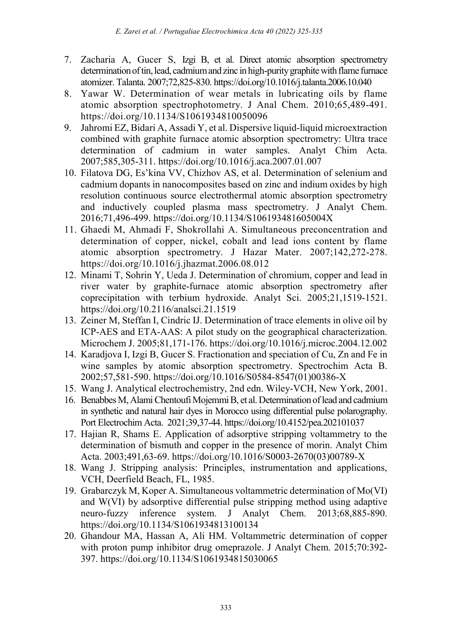- 7. Zacharia A, Gucer S, Izgi B, et al. Direct atomic absorption spectrometry determination of tin, lead, cadmium and zinc in high-purity graphite with flame furnace atomizer. Talanta. 2007;72,825-830. https://doi.org/10.1016/j.talanta.2006.10.040
- 8. Yawar W. Determination of wear metals in lubricating oils by flame atomic absorption spectrophotometry. J Anal Chem. 2010;65,489-491. https://doi.org/10.1134/S1061934810050096
- 9. Jahromi EZ, Bidari A, Assadi Y, et al. Dispersive liquid-liquid microextraction combined with graphite furnace atomic absorption spectrometry: Ultra trace determination of cadmium in water samples. Analyt Chim Acta. 2007;585,305-311. https://doi.org/10.1016/j.aca.2007.01.007
- 10. Filatova DG, Es'kina VV, Chizhov AS, et al. Determination of selenium and cadmium dopants in nanocomposites based on zinc and indium oxides by high resolution continuous source electrothermal atomic absorption spectrometry and inductively coupled plasma mass spectrometry. J Analyt Chem. 2016;71,496-499. https://doi.org/10.1134/S106193481605004X
- 11. Ghaedi M, Ahmadi F, Shokrollahi A. Simultaneous preconcentration and determination of copper, nickel, cobalt and lead ions content by flame atomic absorption spectrometry. J Hazar Mater. 2007;142,272-278. https://doi.org/10.1016/j.jhazmat.2006.08.012
- 12. Minami T, Sohrin Y, Ueda J. Determination of chromium, copper and lead in river water by graphite-furnace atomic absorption spectrometry after coprecipitation with terbium hydroxide. Analyt Sci. 2005;21,1519-1521. https://doi.org/10.2116/analsci.21.1519
- 13. Zeiner M, Steffan I, Cindric IJ. Determination of trace elements in olive oil by ICP-AES and ETA-AAS: A pilot study on the geographical characterization. Microchem J. 2005;81,171-176. https://doi.org/10.1016/j.microc.2004.12.002
- 14. Karadjova I, Izgi B, Gucer S. Fractionation and speciation of Cu, Zn and Fe in wine samples by atomic absorption spectrometry. Spectrochim Acta B. 2002;57,581-590. https://doi.org/10.1016/S0584-8547(01)00386-X
- 15. Wang J. Analytical electrochemistry, 2nd edn. Wiley-VCH, New York, 2001.
- 16. Benabbes M, Alami Chentoufi Mojemmi B, et al. Determination of lead and cadmium in synthetic and natural hair dyes in Morocco using differential pulse polarography. Port Electrochim Acta. 2021;39,37-44. https://doi.org/10.4152/pea.202101037
- 17. Hajian R, Shams E. Application of adsorptive stripping voltammetry to the determination of bismuth and copper in the presence of morin. Analyt Chim Acta. 2003;491,63-69. https://doi.org/10.1016/S0003-2670(03)00789-X
- 18. Wang J. Stripping analysis: Principles, instrumentation and applications, VCH, Deerfield Beach, FL, 1985.
- 19. Grabarczyk M, Koper A. Simultaneous voltammetric determination of Mo(VI) and W(VI) by adsorptive differential pulse stripping method using adaptive neuro-fuzzy inference system. J Analyt Chem. 2013;68,885-890. https://doi.org/10.1134/S1061934813100134
- 20. Ghandour MA, Hassan A, Ali HM. Voltammetric determination of copper with proton pump inhibitor drug omeprazole. J Analyt Chem. 2015;70:392- 397. https://doi.org/10.1134/S1061934815030065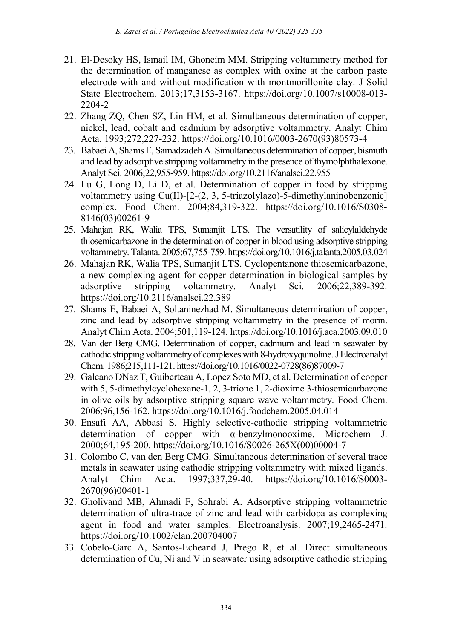- 21. El-Desoky HS, Ismail IM, Ghoneim MM. Stripping voltammetry method for the determination of manganese as complex with oxine at the carbon paste electrode with and without modification with montmorillonite clay. J Solid State Electrochem. 2013;17,3153-3167. https://doi.org/10.1007/s10008-013- 2204-2
- 22. Zhang ZQ, Chen SZ, Lin HM, et al. Simultaneous determination of copper, nickel, lead, cobalt and cadmium by adsorptive voltammetry. Analyt Chim Acta. 1993;272,227-232. https://doi.org/10.1016/0003-2670(93)80573-4
- 23. Babaei A, Shams E, Samadzadeh A. Simultaneous determination of copper, bismuth and lead by adsorptive stripping voltammetry in the presence of thymolphthalexone. Analyt Sci. 2006;22,955-959. https://doi.org/10.2116/analsci.22.955
- 24. Lu G, Long D, Li D, et al. Determination of copper in food by stripping voltammetry using Cu(II)-[2-(2, 3, 5-triazolylazo)-5-dimethylaninobenzonic] complex. Food Chem. 2004;84,319-322. https://doi.org/10.1016/S0308- 8146(03)00261-9
- 25. Mahajan RK, Walia TPS, Sumanjit LTS. The versatility of salicylaldehyde thiosemicarbazone in the determination of copper in blood using adsorptive stripping voltammetry. Talanta. 2005;67,755-759. https://doi.org/10.1016/j.talanta.2005.03.024
- 26. Mahajan RK, Walia TPS, Sumanjit LTS. Cyclopentanone thiosemicarbazone, a new complexing agent for copper determination in biological samples by adsorptive stripping voltammetry. Analyt Sci. 2006;22,389-392. https://doi.org/10.2116/analsci.22.389
- 27. Shams E, Babaei A, Soltaninezhad M. Simultaneous determination of copper, zinc and lead by adsorptive stripping voltammetry in the presence of morin. Analyt Chim Acta. 2004;501,119-124. https://doi.org/10.1016/j.aca.2003.09.010
- 28. Van der Berg CMG. Determination of copper, cadmium and lead in seawater by cathodic stripping voltammetry of complexes with 8-hydroxyquinoline. J Electroanalyt Chem. 1986;215,111-121. https://doi.org/10.1016/0022-0728(86)87009-7
- 29. Galeano DNaz T, Guiberteau A, Lopez Soto MD, et al. Determination of copper with 5, 5-dimethylcyclohexane-1, 2, 3-trione 1, 2-dioxime 3-thiosemicarbazone in olive oils by adsorptive stripping square wave voltammetry. Food Chem. 2006;96,156-162. https://doi.org/10.1016/j.foodchem.2005.04.014
- 30. Ensafi AA, Abbasi S. Highly selective-cathodic stripping voltammetric determination of copper with α-benzylmonooxime. Microchem J. 2000;64,195-200. https://doi.org/10.1016/S0026-265X(00)00004-7
- 31. Colombo C, van den Berg CMG. Simultaneous determination of several trace metals in seawater using cathodic stripping voltammetry with mixed ligands. Analyt Chim Acta. 1997;337,29-40. https://doi.org/10.1016/S0003- 2670(96)00401-1
- 32. Gholivand MB, Ahmadi F, Sohrabi A. Adsorptive stripping voltammetric determination of ultra-trace of zinc and lead with carbidopa as complexing agent in food and water samples. Electroanalysis. 2007;19,2465-2471. https://doi.org/10.1002/elan.200704007
- 33. Cobelo-Garc A, Santos-Echeand J, Prego R, et al. Direct simultaneous determination of Cu, Ni and V in seawater using adsorptive cathodic stripping